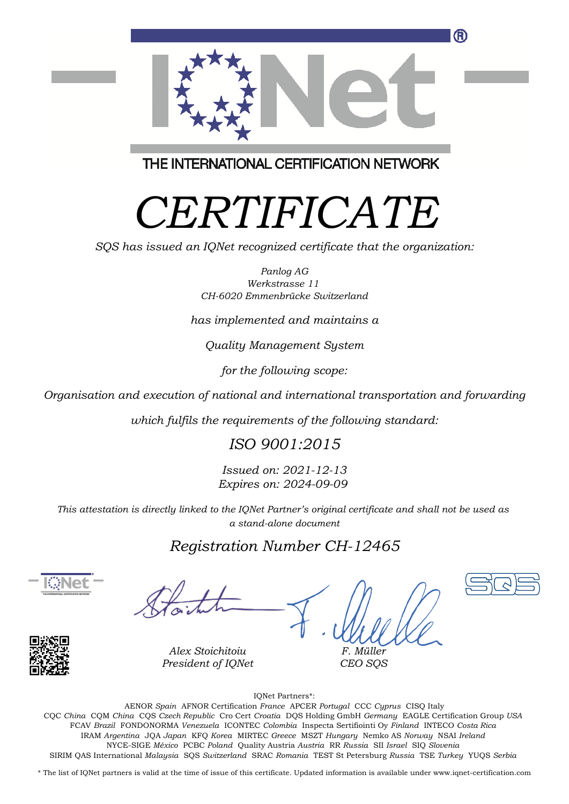

THE INTERNATIONAL CERTIFICATION NETWORK

# *CERTIFICATE*

*SQS has issued an IQNet recognized certificate that the organization:*

*Panlog AG Werkstrasse 11 CH-6020 Emmenbrücke Switzerland*

*has implemented and maintains a*

*Quality Management System*

*for the following scope:*

*Organisation and execution of national and international transportation and forwarding*

*which fulfils the requirements of the following standard:*

### *ISO 9001:2015*

*Issued on: 2021-12-13 Expires on: 2024-09-09*

*This attestation is directly linked to the IQNet Partner's original certificate and shall not be used as a stand-alone document*

### *Registration Number CH-12465*



*F. Müller CEO SQS*





*Alex Stoichitoiu President of IQNet*

IQNet Partners\*:

This annex is only valid in connection with the above-mentioned certificate. FCAV *Brazil* FONDONORMA *Venezuela* ICONTEC *Colombia* Inspecta Sertifiointi Oy *Finland* INTECO *Costa Rica* AENOR *Spain* AFNOR Certification *France* APCER *Portugal* CCC *Cyprus* CISQ Italy CQC *China* CQM *China* CQS *Czech Republic* Cro Cert *Croatia* DQS Holding GmbH *Germany* EAGLE Certification Group *USA* IRAM *Argentina* JQA *Japan* KFQ *Korea* MIRTEC *Greece* MSZT *Hungary* Nemko AS *Norway* NSAI *Ireland* NYCE-SIGE *México* PCBC *Poland* Quality Austria *Austria* RR *Russia* SII *Israel* SIQ *Slovenia* SIRIM QAS International *Malaysia* SQS *Switzerland* SRAC *Romania* TEST St Petersburg *Russia* TSE *Turkey* YUQS *Serbia*

\* The list of IQNet partners is valid at the time of issue of this certificate. Updated information is available under www.iqnet-certification.com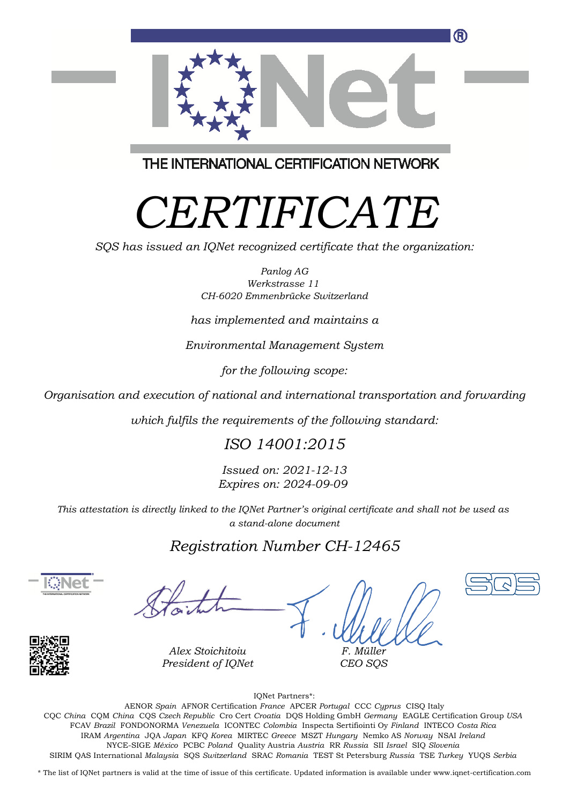

THE INTERNATIONAL CERTIFICATION NETWORK

# *CERTIFICATE*

*SQS has issued an IQNet recognized certificate that the organization:*

*Panlog AG Werkstrasse 11 CH-6020 Emmenbrücke Switzerland*

*has implemented and maintains a*

*Environmental Management System*

*for the following scope:*

*Organisation and execution of national and international transportation and forwarding*

*which fulfils the requirements of the following standard:*

### *ISO 14001:2015*

*Issued on: 2021-12-13 Expires on: 2024-09-09*

*This attestation is directly linked to the IQNet Partner's original certificate and shall not be used as a stand-alone document*

### *Registration Number CH-12465*



*F. Müller CEO SQS*



*Alex Stoichitoiu President of IQNet*

IQNet Partners\*:

This annex is only valid in connection with the above-mentioned certificate. FCAV *Brazil* FONDONORMA *Venezuela* ICONTEC *Colombia* Inspecta Sertifiointi Oy *Finland* INTECO *Costa Rica* AENOR *Spain* AFNOR Certification *France* APCER *Portugal* CCC *Cyprus* CISQ Italy CQC *China* CQM *China* CQS *Czech Republic* Cro Cert *Croatia* DQS Holding GmbH *Germany* EAGLE Certification Group *USA* IRAM *Argentina* JQA *Japan* KFQ *Korea* MIRTEC *Greece* MSZT *Hungary* Nemko AS *Norway* NSAI *Ireland* NYCE-SIGE *México* PCBC *Poland* Quality Austria *Austria* RR *Russia* SII *Israel* SIQ *Slovenia* SIRIM QAS International *Malaysia* SQS *Switzerland* SRAC *Romania* TEST St Petersburg *Russia* TSE *Turkey* YUQS *Serbia*

\* The list of IQNet partners is valid at the time of issue of this certificate. Updated information is available under www.iqnet-certification.com